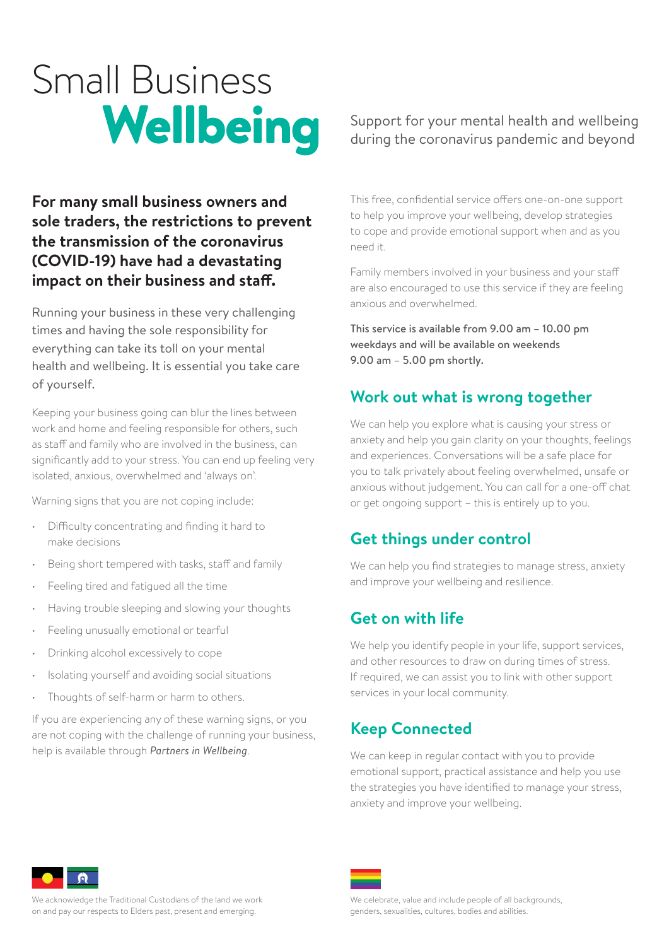# Small Business<br>Wellbeing

### **For many small business owners and sole traders, the restrictions to prevent the transmission of the coronavirus (COVID-19) have had a devastating impact on their business and staff.**

Running your business in these very challenging times and having the sole responsibility for everything can take its toll on your mental health and wellbeing. It is essential you take care of yourself.

Keeping your business going can blur the lines between work and home and feeling responsible for others, such as staff and family who are involved in the business, can significantly add to your stress. You can end up feeling very isolated, anxious, overwhelmed and 'always on'.

Warning signs that you are not coping include:

- Difficulty concentrating and finding it hard to make decisions
- Being short tempered with tasks, staff and family
- Feeling tired and fatigued all the time
- Having trouble sleeping and slowing your thoughts
- Feeling unusually emotional or tearful
- Drinking alcohol excessively to cope
- Isolating yourself and avoiding social situations
- Thoughts of self-harm or harm to others.

If you are experiencing any of these warning signs, or you are not coping with the challenge of running your business, help is available through *Partners in Wellbeing*.

### Support for your mental health and wellbeing during the coronavirus pandemic and beyond

This free, confidential service offers one-on-one support to help you improve your wellbeing, develop strategies to cope and provide emotional support when and as you need it.

Family members involved in your business and your staff are also encouraged to use this service if they are feeling anxious and overwhelmed.

This service is available from 9.00 am – 10.00 pm weekdays and will be available on weekends 9.00 am – 5.00 pm shortly.

### **Work out what is wrong together**

We can help you explore what is causing your stress or anxiety and help you gain clarity on your thoughts, feelings and experiences. Conversations will be a safe place for you to talk privately about feeling overwhelmed, unsafe or anxious without judgement. You can call for a one-off chat or get ongoing support – this is entirely up to you.

### **Get things under control**

We can help you find strategies to manage stress, anxiety and improve your wellbeing and resilience.

### **Get on with life**

We help you identify people in your life, support services, and other resources to draw on during times of stress. If required, we can assist you to link with other support services in your local community.

# **Keep Connected**

We can keep in regular contact with you to provide emotional support, practical assistance and help you use the strategies you have identified to manage your stress, anxiety and improve your wellbeing.